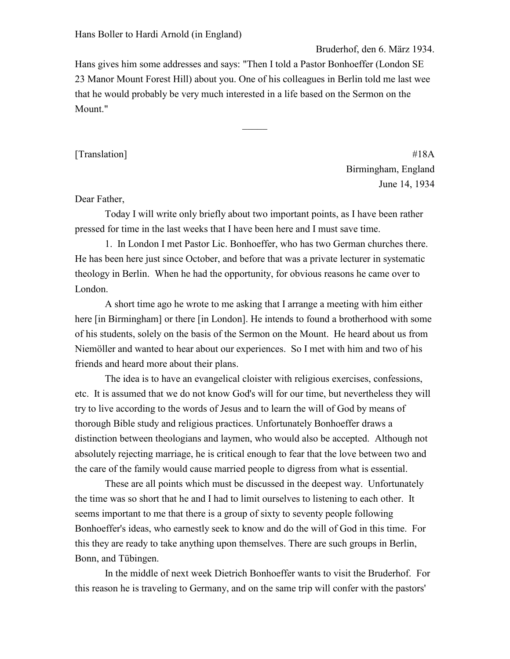Bruderhof, den 6. März 1934.

Hans gives him some addresses and says: "Then I told a Pastor Bonhoeffer (London SE 23 Manor Mount Forest Hill) about you. One of his colleagues in Berlin told me last wee that he would probably be very much interested in a life based on the Sermon on the Mount."

 $\mathcal{L}$ 

[Translation] #18A Birmingham, England June 14, 1934

## Dear Father,

Today I will write only briefly about two important points, as I have been rather pressed for time in the last weeks that I have been here and I must save time.

1. In London I met Pastor Lic. Bonhoeffer, who has two German churches there. He has been here just since October, and before that was a private lecturer in systematic theology in Berlin. When he had the opportunity, for obvious reasons he came over to London.

A short time ago he wrote to me asking that I arrange a meeting with him either here [in Birmingham] or there [in London]. He intends to found a brotherhood with some of his students, solely on the basis of the Sermon on the Mount. He heard about us from Niemöller and wanted to hear about our experiences. So I met with him and two of his friends and heard more about their plans.

The idea is to have an evangelical cloister with religious exercises, confessions, etc. It is assumed that we do not know God's will for our time, but nevertheless they will try to live according to the words of Jesus and to learn the will of God by means of thorough Bible study and religious practices. Unfortunately Bonhoeffer draws a distinction between theologians and laymen, who would also be accepted. Although not absolutely rejecting marriage, he is critical enough to fear that the love between two and the care of the family would cause married people to digress from what is essential.

These are all points which must be discussed in the deepest way. Unfortunately the time was so short that he and I had to limit ourselves to listening to each other. It seems important to me that there is a group of sixty to seventy people following Bonhoeffer's ideas, who earnestly seek to know and do the will of God in this time. For this they are ready to take anything upon themselves. There are such groups in Berlin, Bonn, and Tübingen.

In the middle of next week Dietrich Bonhoeffer wants to visit the Bruderhof. For this reason he is traveling to Germany, and on the same trip will confer with the pastors'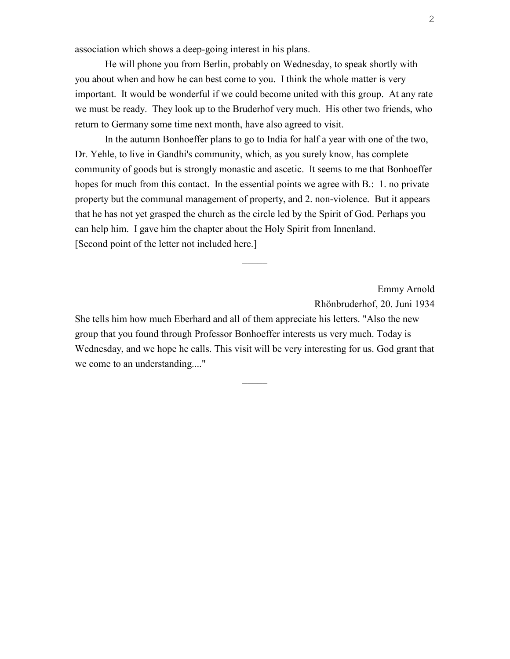association which shows a deep-going interest in his plans.

He will phone you from Berlin, probably on Wednesday, to speak shortly with you about when and how he can best come to you. I think the whole matter is very important. It would be wonderful if we could become united with this group. At any rate we must be ready. They look up to the Bruderhof very much. His other two friends, who return to Germany some time next month, have also agreed to visit.

In the autumn Bonhoeffer plans to go to India for half a year with one of the two, Dr. Yehle, to live in Gandhi's community, which, as you surely know, has complete community of goods but is strongly monastic and ascetic. It seems to me that Bonhoeffer hopes for much from this contact. In the essential points we agree with B.: 1, no private property but the communal management of property, and 2. non-violence. But it appears that he has not yet grasped the church as the circle led by the Spirit of God. Perhaps you can help him. I gave him the chapter about the Holy Spirit from Innenland. [Second point of the letter not included here.]

 $\mathcal{L}$ 

Emmy Arnold Rhönbruderhof, 20. Juni 1934

She tells him how much Eberhard and all of them appreciate his letters. "Also the new group that you found through Professor Bonhoeffer interests us very much. Today is Wednesday, and we hope he calls. This visit will be very interesting for us. God grant that we come to an understanding...."

 $\mathcal{L}$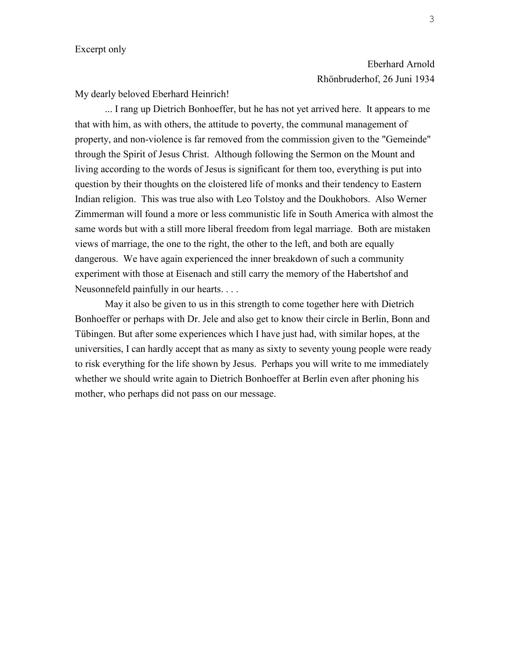My dearly beloved Eberhard Heinrich!

... I rang up Dietrich Bonhoeffer, but he has not yet arrived here. It appears to me that with him, as with others, the attitude to poverty, the communal management of property, and non-violence is far removed from the commission given to the "Gemeinde" through the Spirit of Jesus Christ. Although following the Sermon on the Mount and living according to the words of Jesus is significant for them too, everything is put into question by their thoughts on the cloistered life of monks and their tendency to Eastern Indian religion. This was true also with Leo Tolstoy and the Doukhobors. Also Werner Zimmerman will found a more or less communistic life in South America with almost the same words but with a still more liberal freedom from legal marriage. Both are mistaken views of marriage, the one to the right, the other to the left, and both are equally dangerous. We have again experienced the inner breakdown of such a community experiment with those at Eisenach and still carry the memory of the Habertshof and Neusonnefeld painfully in our hearts. . . .

May it also be given to us in this strength to come together here with Dietrich Bonhoeffer or perhaps with Dr. Jele and also get to know their circle in Berlin, Bonn and Tübingen. But after some experiences which I have just had, with similar hopes, at the universities, I can hardly accept that as many as sixty to seventy young people were ready to risk everything for the life shown by Jesus. Perhaps you will write to me immediately whether we should write again to Dietrich Bonhoeffer at Berlin even after phoning his mother, who perhaps did not pass on our message.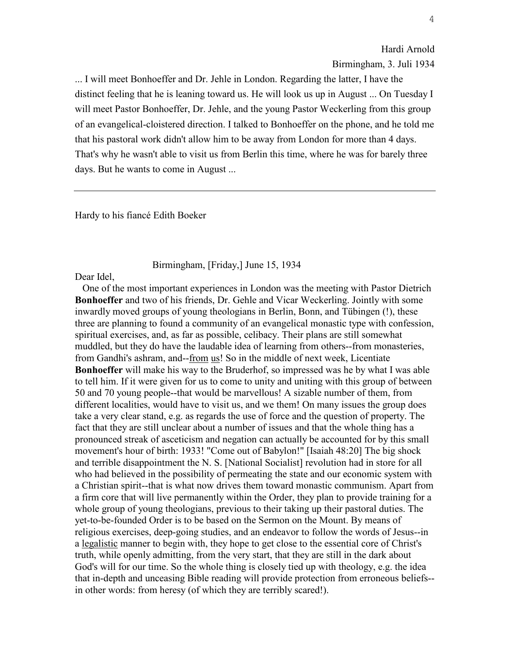Hardi Arnold Birmingham, 3. Juli 1934

... I will meet Bonhoeffer and Dr. Jehle in London. Regarding the latter, I have the distinct feeling that he is leaning toward us. He will look us up in August ... On Tuesday I will meet Pastor Bonhoeffer, Dr. Jehle, and the young Pastor Weckerling from this group of an evangelical-cloistered direction. I talked to Bonhoeffer on the phone, and he told me that his pastoral work didn't allow him to be away from London for more than 4 days. That's why he wasn't able to visit us from Berlin this time, where he was for barely three days. But he wants to come in August ...

Hardy to his fiancé Edith Boeker

## Birmingham, [Friday,] June 15, 1934

Dear Idel,

 One of the most important experiences in London was the meeting with Pastor Dietrich **Bonhoeffer** and two of his friends, Dr. Gehle and Vicar Weckerling. Jointly with some inwardly moved groups of young theologians in Berlin, Bonn, and Tübingen (!), these three are planning to found a community of an evangelical monastic type with confession, spiritual exercises, and, as far as possible, celibacy. Their plans are still somewhat muddled, but they do have the laudable idea of learning from others--from monasteries, from Gandhi's ashram, and--from us! So in the middle of next week, Licentiate **Bonhoeffer** will make his way to the Bruderhof, so impressed was he by what I was able to tell him. If it were given for us to come to unity and uniting with this group of between 50 and 70 young people--that would be marvellous! A sizable number of them, from different localities, would have to visit us, and we them! On many issues the group does take a very clear stand, e.g. as regards the use of force and the question of property. The fact that they are still unclear about a number of issues and that the whole thing has a pronounced streak of asceticism and negation can actually be accounted for by this small movement's hour of birth: 1933! "Come out of Babylon!" [Isaiah 48:20] The big shock and terrible disappointment the N. S. [National Socialist] revolution had in store for all who had believed in the possibility of permeating the state and our economic system with a Christian spirit--that is what now drives them toward monastic communism. Apart from a firm core that will live permanently within the Order, they plan to provide training for a whole group of young theologians, previous to their taking up their pastoral duties. The yet-to-be-founded Order is to be based on the Sermon on the Mount. By means of religious exercises, deep-going studies, and an endeavor to follow the words of Jesus--in a legalistic manner to begin with, they hope to get close to the essential core of Christ's truth, while openly admitting, from the very start, that they are still in the dark about God's will for our time. So the whole thing is closely tied up with theology, e.g. the idea that in-depth and unceasing Bible reading will provide protection from erroneous beliefs- in other words: from heresy (of which they are terribly scared!).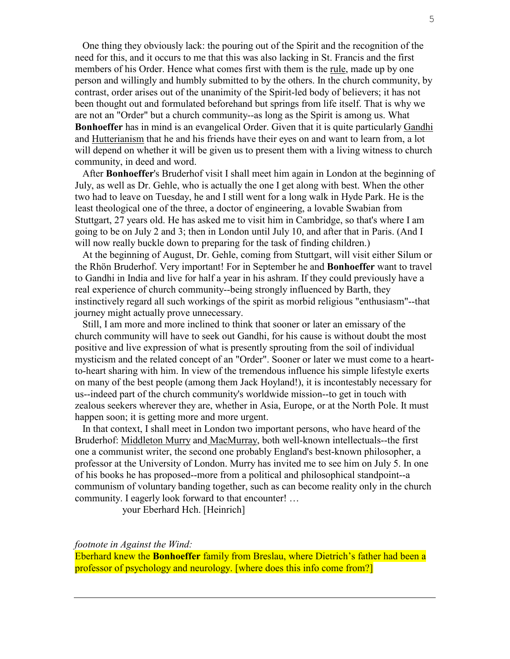One thing they obviously lack: the pouring out of the Spirit and the recognition of the need for this, and it occurs to me that this was also lacking in St. Francis and the first members of his Order. Hence what comes first with them is the rule, made up by one person and willingly and humbly submitted to by the others. In the church community, by contrast, order arises out of the unanimity of the Spirit-led body of believers; it has not been thought out and formulated beforehand but springs from life itself. That is why we are not an "Order" but a church community--as long as the Spirit is among us. What **Bonhoeffer** has in mind is an evangelical Order. Given that it is quite particularly Gandhi and Hutterianism that he and his friends have their eyes on and want to learn from, a lot will depend on whether it will be given us to present them with a living witness to church community, in deed and word.

 After **Bonhoeffer**'s Bruderhof visit I shall meet him again in London at the beginning of July, as well as Dr. Gehle, who is actually the one I get along with best. When the other two had to leave on Tuesday, he and I still went for a long walk in Hyde Park. He is the least theological one of the three, a doctor of engineering, a lovable Swabian from Stuttgart, 27 years old. He has asked me to visit him in Cambridge, so that's where I am going to be on July 2 and 3; then in London until July 10, and after that in Paris. (And I will now really buckle down to preparing for the task of finding children.)

 At the beginning of August, Dr. Gehle, coming from Stuttgart, will visit either Silum or the Rhön Bruderhof. Very important! For in September he and **Bonhoeffer** want to travel to Gandhi in India and live for half a year in his ashram. If they could previously have a real experience of church community--being strongly influenced by Barth, they instinctively regard all such workings of the spirit as morbid religious "enthusiasm"--that journey might actually prove unnecessary.

 Still, I am more and more inclined to think that sooner or later an emissary of the church community will have to seek out Gandhi, for his cause is without doubt the most positive and live expression of what is presently sprouting from the soil of individual mysticism and the related concept of an "Order". Sooner or later we must come to a heartto-heart sharing with him. In view of the tremendous influence his simple lifestyle exerts on many of the best people (among them Jack Hoyland!), it is incontestably necessary for us--indeed part of the church community's worldwide mission--to get in touch with zealous seekers wherever they are, whether in Asia, Europe, or at the North Pole. It must happen soon; it is getting more and more urgent.

 In that context, I shall meet in London two important persons, who have heard of the Bruderhof: Middleton Murry and MacMurray, both well-known intellectuals--the first one a communist writer, the second one probably England's best-known philosopher, a professor at the University of London. Murry has invited me to see him on July 5. In one of his books he has proposed--more from a political and philosophical standpoint--a communism of voluntary banding together, such as can become reality only in the church community. I eagerly look forward to that encounter! …

your Eberhard Hch. [Heinrich]

*footnote in Against the Wind:* 

Eberhard knew the **Bonhoeffer** family from Breslau, where Dietrich's father had been a professor of psychology and neurology. [where does this info come from?]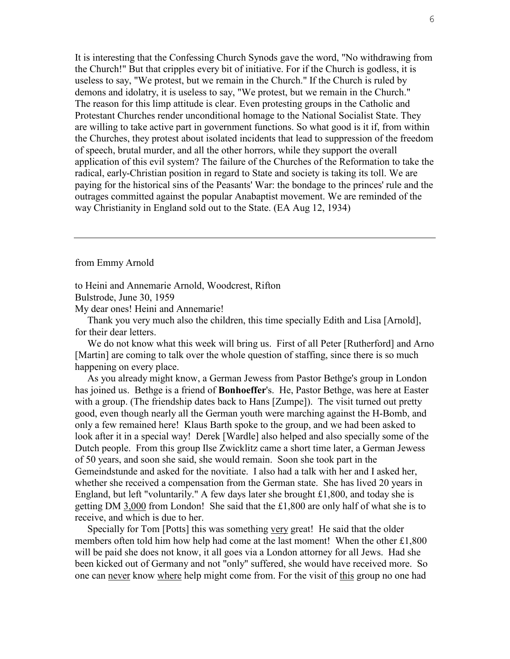It is interesting that the Confessing Church Synods gave the word, "No withdrawing from the Church!" But that cripples every bit of initiative. For if the Church is godless, it is useless to say, "We protest, but we remain in the Church." If the Church is ruled by demons and idolatry, it is useless to say, "We protest, but we remain in the Church." The reason for this limp attitude is clear. Even protesting groups in the Catholic and Protestant Churches render unconditional homage to the National Socialist State. They are willing to take active part in government functions. So what good is it if, from within the Churches, they protest about isolated incidents that lead to suppression of the freedom of speech, brutal murder, and all the other horrors, while they support the overall application of this evil system? The failure of the Churches of the Reformation to take the radical, early-Christian position in regard to State and society is taking its toll. We are paying for the historical sins of the Peasants' War: the bondage to the princes' rule and the outrages committed against the popular Anabaptist movement. We are reminded of the way Christianity in England sold out to the State. (EA Aug 12, 1934)

## from Emmy Arnold

to Heini and Annemarie Arnold, Woodcrest, Rifton

Bulstrode, June 30, 1959

My dear ones! Heini and Annemarie!

 Thank you very much also the children, this time specially Edith and Lisa [Arnold], for their dear letters.

We do not know what this week will bring us. First of all Peter [Rutherford] and Arno [Martin] are coming to talk over the whole question of staffing, since there is so much happening on every place.

 As you already might know, a German Jewess from Pastor Bethge's group in London has joined us. Bethge is a friend of **Bonhoeffer**'s. He, Pastor Bethge, was here at Easter with a group. (The friendship dates back to Hans [Zumpe]). The visit turned out pretty good, even though nearly all the German youth were marching against the H-Bomb, and only a few remained here! Klaus Barth spoke to the group, and we had been asked to look after it in a special way! Derek [Wardle] also helped and also specially some of the Dutch people. From this group Ilse Zwicklitz came a short time later, a German Jewess of 50 years, and soon she said, she would remain. Soon she took part in the Gemeindstunde and asked for the novitiate. I also had a talk with her and I asked her, whether she received a compensation from the German state. She has lived 20 years in England, but left "voluntarily." A few days later she brought £1,800, and today she is getting DM 3,000 from London! She said that the £1,800 are only half of what she is to receive, and which is due to her.

 Specially for Tom [Potts] this was something very great! He said that the older members often told him how help had come at the last moment! When the other £1,800 will be paid she does not know, it all goes via a London attorney for all Jews. Had she been kicked out of Germany and not "only" suffered, she would have received more. So one can never know where help might come from. For the visit of this group no one had